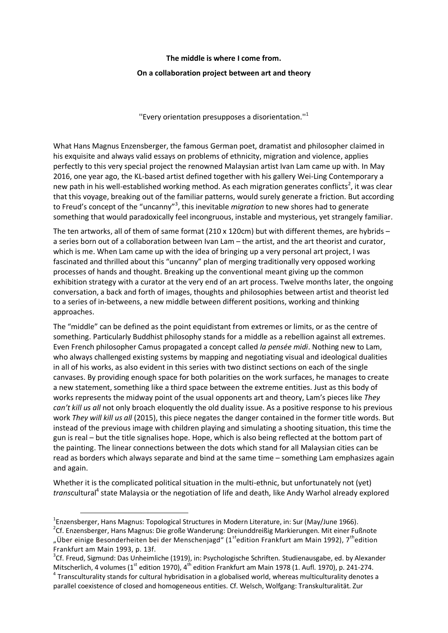## **The middle is where I come from.**

## **On a collaboration project between art and theory**

''Every orientation presupposes a disorientation.''<sup>1</sup>

What Hans Magnus Enzensberger, the famous German poet, dramatist and philosopher claimed in his exquisite and always valid essays on problems of ethnicity, migration and violence, applies perfectly to this very special project the renowned Malaysian artist Ivan Lam came up with. In May 2016, one year ago, the KL-based artist defined together with his gallery Wei-Ling Contemporary a new path in his well-established working method. As each migration generates conflicts<sup>2</sup>, it was clear that this voyage, breaking out of the familiar patterns, would surely generate a friction. But according to Freud's concept of the "uncanny"<sup>3</sup>, this inevitable *migration* to new shores had to generate something that would paradoxically feel incongruous, instable and mysterious, yet strangely familiar.

The ten artworks, all of them of same format (210 x 120cm) but with different themes, are hybrids – a series born out of a collaboration between Ivan Lam – the artist, and the art theorist and curator, which is me. When Lam came up with the idea of bringing up a very personal art project, I was fascinated and thrilled about this "uncanny" plan of merging traditionally very opposed working processes of hands and thought. Breaking up the conventional meant giving up the common exhibition strategy with a curator at the very end of an art process. Twelve months later, the ongoing conversation, a back and forth of images, thoughts and philosophies between artist and theorist led to a series of in-betweens, a new middle between different positions, working and thinking approaches.

The "middle" can be defined as the point equidistant from extremes or limits, or as the centre of something. Particularly Buddhist philosophy stands for a middle as a rebellion against all extremes. Even French philosopher Camus propagated a concept called *la pensée midi*. Nothing new to Lam, who always challenged existing systems by mapping and negotiating visual and ideological dualities in all of his works, as also evident in this series with two distinct sections on each of the single canvases. By providing enough space for both polarities on the work surfaces, he manages to create a new statement, something like a third space between the extreme entities. Just as this body of works represents the midway point of the usual opponents art and theory, Lam's pieces like *They can't kill us all* not only broach eloquently the old duality issue. As a positive response to his previous work *They will kill us all* (2015), this piece negates the danger contained in the former title words. But instead of the previous image with children playing and simulating a shooting situation, this time the gun is real – but the title signalises hope. Hope, which is also being reflected at the bottom part of the painting. The linear connections between the dots which stand for all Malaysian cities can be read as borders which always separate and bind at the same time – something Lam emphasizes again and again.

Whether it is the complicated political situation in the multi-ethnic, but unfortunately not (yet) transcultural<sup>4</sup> state Malaysia or the negotiation of life and death, like Andy Warhol already explored

 $\overline{a}$ 

<sup>&</sup>lt;sup>1</sup>Enzensberger, Hans Magnus: Topological Structures in Modern Literature, in: Sur (May/June 1966).

<sup>&</sup>lt;sup>2</sup>Cf. Enzensberger, Hans Magnus: Die große Wanderung: Dreiunddreißig Markierungen. Mit einer Fußnote "Über einige Besonderheiten bei der Menschenjagd" (1<sup>st</sup>edition Frankfurt am Main 1992), 7<sup>th</sup>edition Frankfurt am Main 1993, p. 13f.

<sup>&</sup>lt;sup>3</sup>Cf. Freud, Sigmund: Das Unheimliche (1919), in: Psychologische Schriften. Studienausgabe, ed. by Alexander Mitscherlich, 4 volumes (1<sup>st</sup> edition 1970), 4<sup>th</sup> edition Frankfurt am Main 1978 (1. Aufl. 1970), p. 241-274.  $^4$  Transculturality stands for cultural hybridisation in a globalised world, whereas multiculturality denotes a parallel coexistence of closed and homogeneous entities. Cf. Welsch, Wolfgang: Transkulturalität. Zur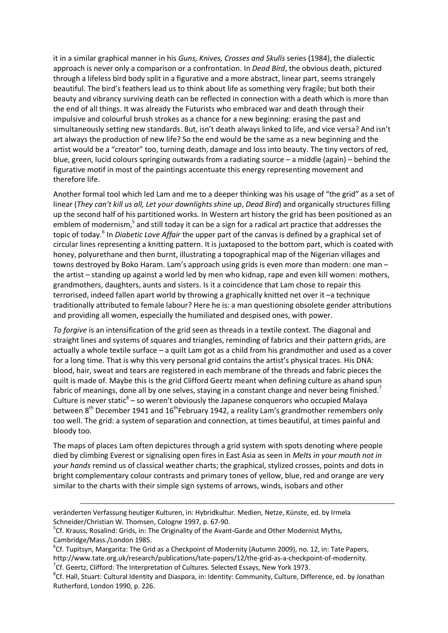it in a similar graphical manner in his *Guns, Knives, Crosses and Skulls* series (1984), the dialectic approach is never only a comparison or a confrontation. In *Dead Bird*, the obvious death, pictured through a lifeless bird body split in a figurative and a more abstract, linear part, seems strangely beautiful. The bird's feathers lead us to think about life as something very fragile; but both their beauty and vibrancy surviving death can be reflected in connection with a death which is more than the end of all things. It was already the Futurists who embraced war and death through their impulsive and colourful brush strokes as a chance for a new beginning: erasing the past and simultaneously setting new standards. But, isn't death always linked to life, and vice versa? And isn't art always the production of new life? So the end would be the same as a new beginning and the artist would be a "creator" too, turning death, damage and loss into beauty. The tiny vectors of red, blue, green, lucid colours springing outwards from a radiating source – a middle (again) – behind the figurative motif in most of the paintings accentuate this energy representing movement and therefore life.

Another formal tool which led Lam and me to a deeper thinking was his usage of "the grid" as a set of linear (*They can't kill us all, Let your downlights shine up*, *Dead Bird*) and organically structures filling up the second half of his partitioned works. In Western art history the grid has been positioned as an emblem of modernism,<sup>5</sup> and still today it can be a sign for a radical art practice that addresses the topic of today.<sup>6</sup> In *Diabetic Love Affair* the upper part of the canvas is defined by a graphical set of circular lines representing a knitting pattern. It is juxtaposed to the bottom part, which is coated with honey, polyurethane and then burnt, illustrating a topographical map of the Nigerian villages and towns destroyed by Boko Haram. Lam's approach using grids is even more than modern: one man – the artist – standing up against a world led by men who kidnap, rape and even kill women: mothers, grandmothers, daughters, aunts and sisters. Is it a coincidence that Lam chose to repair this terrorised, indeed fallen apart world by throwing a graphically knitted net over it –a technique traditionally attributed to female labour? Here he is: a man questioning obsolete gender attributions and providing all women, especially the humiliated and despised ones, with power.

*To forgive* is an intensification of the grid seen as threads in a textile context. The diagonal and straight lines and systems of squares and triangles, reminding of fabrics and their pattern grids, are actually a whole textile surface – a quilt Lam got as a child from his grandmother and used as a cover for a long time. That is why this very personal grid contains the artist's physical traces. His DNA: blood, hair, sweat and tears are registered in each membrane of the threads and fabric pieces the quilt is made of. Maybe this is the grid Clifford Geertz meant when defining culture as ahand spun fabric of meanings, done all by one selves, staying in a constant change and never being finished.<sup>7</sup> Culture is never static $8 -$ so weren't obviously the Japanese conquerors who occupied Malaya between 8<sup>th</sup> December 1941 and 16<sup>th</sup>February 1942, a reality Lam's grandmother remembers only too well. The grid: a system of separation and connection, at times beautiful, at times painful and bloody too.

The maps of places Lam often depictures through a grid system with spots denoting where people died by climbing Everest or signalising open fires in East Asia as seen in *Melts in your mouth not in your hands* remind us of classical weather charts; the graphical, stylized crosses, points and dots in bright complementary colour contrasts and primary tones of yellow, blue, red and orange are very similar to the charts with their simple sign systems of arrows, winds, isobars and other

1

veränderten Verfassung heutiger Kulturen, in: Hybridkultur. Medien, Netze, Künste, ed. by Irmela Schneider/Christian W. Thomsen, Cologne 1997, p. 67-90.

<sup>&</sup>lt;sup>5</sup>Cf. Krauss, Rosalind: Grids, in: The Originality of the Avant-Garde and Other Modernist Myths, Cambridge/Mass./London 1985.

<sup>&</sup>lt;sup>6</sup>Cf. Tupitsyn, Margarita: The Grid as a Checkpoint of Modernity (Autumn 2009), no. 12, in: Tate Papers, http://www.tate.org.uk/research/publications/tate-papers/12/the-grid-as-a-checkpoint-of-modernity.  ${}^{7}$ Cf. Geertz, Clifford: The Interpretation of Cultures. Selected Essays, New York 1973.

<sup>&</sup>lt;sup>8</sup>Cf. Hall, Stuart: Cultural Identity and Diaspora, in: Identity: Community, Culture, Difference, ed. by Jonathan Rutherford, London 1990, p. 226.